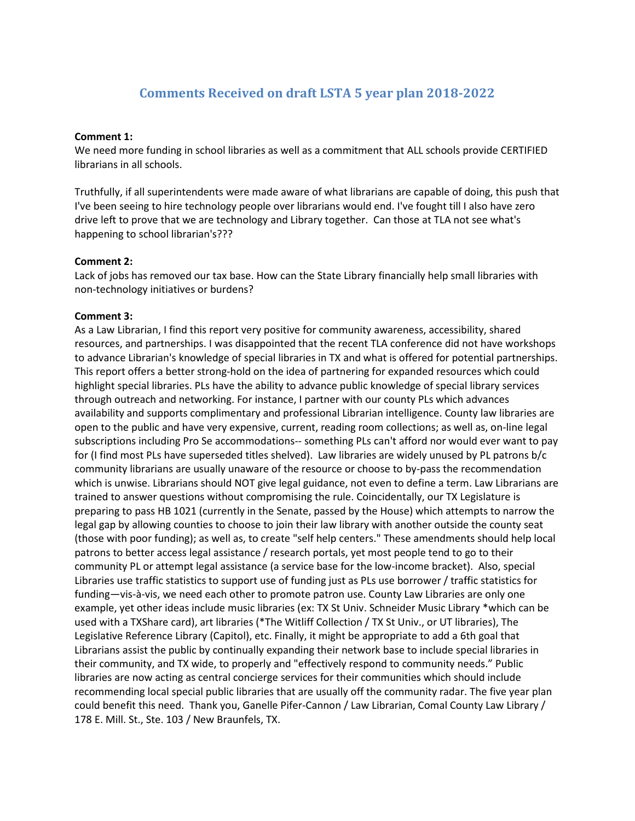# **Comments Received on draft LSTA 5 year plan 2018-2022**

## **Comment 1:**

We need more funding in school libraries as well as a commitment that ALL schools provide CERTIFIED librarians in all schools.

Truthfully, if all superintendents were made aware of what librarians are capable of doing, this push that I've been seeing to hire technology people over librarians would end. I've fought till I also have zero drive left to prove that we are technology and Library together. Can those at TLA not see what's happening to school librarian's???

## **Comment 2:**

Lack of jobs has removed our tax base. How can the State Library financially help small libraries with non-technology initiatives or burdens?

## **Comment 3:**

As a Law Librarian, I find this report very positive for community awareness, accessibility, shared resources, and partnerships. I was disappointed that the recent TLA conference did not have workshops to advance Librarian's knowledge of special libraries in TX and what is offered for potential partnerships. This report offers a better strong-hold on the idea of partnering for expanded resources which could highlight special libraries. PLs have the ability to advance public knowledge of special library services through outreach and networking. For instance, I partner with our county PLs which advances availability and supports complimentary and professional Librarian intelligence. County law libraries are open to the public and have very expensive, current, reading room collections; as well as, on-line legal subscriptions including Pro Se accommodations-- something PLs can't afford nor would ever want to pay for (I find most PLs have superseded titles shelved). Law libraries are widely unused by PL patrons b/c community librarians are usually unaware of the resource or choose to by-pass the recommendation which is unwise. Librarians should NOT give legal guidance, not even to define a term. Law Librarians are trained to answer questions without compromising the rule. Coincidentally, our TX Legislature is preparing to pass HB 1021 (currently in the Senate, passed by the House) which attempts to narrow the legal gap by allowing counties to choose to join their law library with another outside the county seat (those with poor funding); as well as, to create "self help centers." These amendments should help local patrons to better access legal assistance / research portals, yet most people tend to go to their community PL or attempt legal assistance (a service base for the low-income bracket). Also, special Libraries use traffic statistics to support use of funding just as PLs use borrower / traffic statistics for funding—vis-à-vis, we need each other to promote patron use. County Law Libraries are only one example, yet other ideas include music libraries (ex: TX St Univ. Schneider Music Library \*which can be used with a TXShare card), art libraries (\*The Witliff Collection / TX St Univ., or UT libraries), The Legislative Reference Library (Capitol), etc. Finally, it might be appropriate to add a 6th goal that Librarians assist the public by continually expanding their network base to include special libraries in their community, and TX wide, to properly and "effectively respond to community needs." Public libraries are now acting as central concierge services for their communities which should include recommending local special public libraries that are usually off the community radar. The five year plan could benefit this need. Thank you, Ganelle Pifer-Cannon / Law Librarian, Comal County Law Library / 178 E. Mill. St., Ste. 103 / New Braunfels, TX.